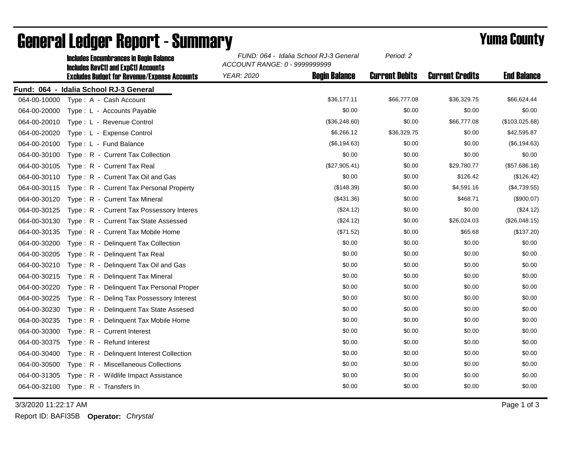|              | <b>Includes Encumbrances in Begin Balance</b><br><b>Includes RevCtI and ExpCtI Accounts</b><br><b>Excludes Budget for Revenue/Expense Accounts</b> | FUND: 064 - Idalia School RJ-3 General<br>ACCOUNT RANGE: 0 - 9999999999 |                      | Period: 2             |                        |                    |
|--------------|----------------------------------------------------------------------------------------------------------------------------------------------------|-------------------------------------------------------------------------|----------------------|-----------------------|------------------------|--------------------|
|              |                                                                                                                                                    | <b>YEAR: 2020</b>                                                       | <b>Begin Balance</b> | <b>Current Debits</b> | <b>Current Credits</b> | <b>End Balance</b> |
|              | Fund: 064 - Idalia School RJ-3 General                                                                                                             |                                                                         |                      |                       |                        |                    |
| 064-00-10000 | Type: A - Cash Account                                                                                                                             |                                                                         | \$36,177.11          | \$66,777.08           | \$36,329.75            | \$66,624.44        |
| 064-00-20000 | Type: L - Accounts Payable                                                                                                                         |                                                                         | \$0.00               | \$0.00                | \$0.00                 | \$0.00             |
| 064-00-20010 | Type: L - Revenue Control                                                                                                                          |                                                                         | (\$36,248.60)        | \$0.00                | \$66,777.08            | (\$103,025.68)     |
| 064-00-20020 | Type: L - Expense Control                                                                                                                          |                                                                         | \$6,266.12           | \$36,329.75           | \$0.00                 | \$42,595.87        |
| 064-00-20100 | Type: L - Fund Balance                                                                                                                             |                                                                         | (\$6,194.63)         | \$0.00                | \$0.00                 | (\$6, 194.63)      |
| 064-00-30100 | Type: R - Current Tax Collection                                                                                                                   |                                                                         | \$0.00               | \$0.00                | \$0.00                 | \$0.00             |
| 064-00-30105 | Type: R - Current Tax Real                                                                                                                         |                                                                         | (\$27,905.41)        | \$0.00                | \$29,780.77            | (\$57,686.18)      |
| 064-00-30110 | Type: R - Current Tax Oil and Gas                                                                                                                  |                                                                         | \$0.00               | \$0.00                | \$126.42               | (\$126.42)         |
| 064-00-30115 | Type: R - Current Tax Personal Property                                                                                                            |                                                                         | (\$148.39)           | \$0.00                | \$4,591.16             | (\$4,739.55)       |
| 064-00-30120 | Type: R - Current Tax Mineral                                                                                                                      |                                                                         | (\$431.36)           | \$0.00                | \$468.71               | (\$900.07)         |
| 064-00-30125 | Type: R - Current Tax Possessory Interes                                                                                                           |                                                                         | (\$24.12)            | \$0.00                | \$0.00                 | (\$24.12)          |
| 064-00-30130 | Type: R - Current Tax State Assessed                                                                                                               |                                                                         | (\$24.12)            | \$0.00                | \$26,024.03            | (\$26,048.15)      |
| 064-00-30135 | Type: R - Current Tax Mobile Home                                                                                                                  |                                                                         | (\$71.52)            | \$0.00                | \$65.68                | (\$137.20)         |
| 064-00-30200 | Type: R - Delinquent Tax Collection                                                                                                                |                                                                         | \$0.00               | \$0.00                | \$0.00                 | \$0.00             |
| 064-00-30205 | Type: R - Delinquent Tax Real                                                                                                                      |                                                                         | \$0.00               | \$0.00                | \$0.00                 | \$0.00             |
| 064-00-30210 | Type: R - Delinquent Tax Oil and Gas                                                                                                               |                                                                         | \$0.00               | \$0.00                | \$0.00                 | \$0.00             |
| 064-00-30215 | Type: R - Delinquent Tax Mineral                                                                                                                   |                                                                         | \$0.00               | \$0.00                | \$0.00                 | \$0.00             |
| 064-00-30220 | Type: R - Delinquent Tax Personal Proper                                                                                                           |                                                                         | \$0.00               | \$0.00                | \$0.00                 | \$0.00             |
| 064-00-30225 | Type: R - Deling Tax Possessory Interest                                                                                                           |                                                                         | \$0.00               | \$0.00                | \$0.00                 | \$0.00             |
| 064-00-30230 | Type: R - Delinguent Tax State Assesed                                                                                                             |                                                                         | \$0.00               | \$0.00                | \$0.00                 | \$0.00             |
| 064-00-30235 | Type: R - Delinquent Tax Mobile Home                                                                                                               |                                                                         | \$0.00               | \$0.00                | \$0.00                 | \$0.00             |
| 064-00-30300 | Type: R - Current Interest                                                                                                                         |                                                                         | \$0.00               | \$0.00                | \$0.00                 | \$0.00             |
| 064-00-30375 | Type: R - Refund Interest                                                                                                                          |                                                                         | \$0.00               | \$0.00                | \$0.00                 | \$0.00             |
| 064-00-30400 | Type: R - Delinquent Interest Collection                                                                                                           |                                                                         | \$0.00               | \$0.00                | \$0.00                 | \$0.00             |
| 064-00-30500 | Type: R - Miscellaneous Collections                                                                                                                |                                                                         | \$0.00               | \$0.00                | \$0.00                 | \$0.00             |
| 064-00-31305 | Type: R - Wildlife Impact Assistance                                                                                                               |                                                                         | \$0.00               | \$0.00                | \$0.00                 | \$0.00             |
| 064-00-32100 | Type: R - Transfers In                                                                                                                             |                                                                         | \$0.00               | \$0.00                | \$0.00                 | \$0.00             |

## General Ledger Report - Summary **Example 2018** Yuma County

3/3/2020 11:22:17 AM Page 1 of 3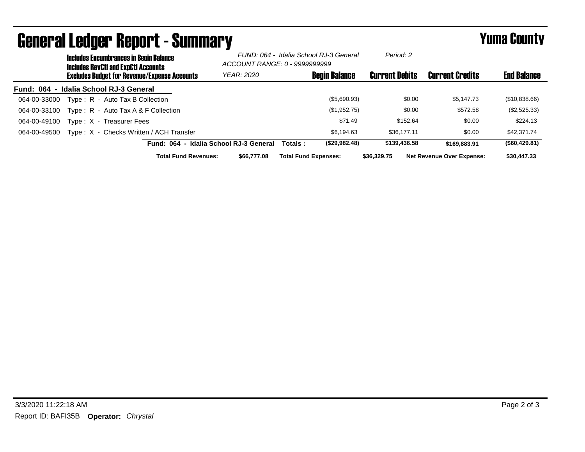| <b>General Ledger Report - Summary</b> |                                                                                             |                                                     |                                                                         |                             | <b>Yuma County</b>   |                       |                                  |                    |
|----------------------------------------|---------------------------------------------------------------------------------------------|-----------------------------------------------------|-------------------------------------------------------------------------|-----------------------------|----------------------|-----------------------|----------------------------------|--------------------|
|                                        | <b>Includes Encumbrances in Begin Balance</b><br><b>Includes RevCtI and ExpCtI Accounts</b> |                                                     | FUND: 064 - Idalia School RJ-3 General<br>ACCOUNT RANGE: 0 - 9999999999 |                             | Period: 2            |                       |                                  |                    |
|                                        |                                                                                             | <b>Excludes Budget for Revenue/Expense Accounts</b> | <b>YEAR: 2020</b>                                                       |                             | <b>Begin Balance</b> | <b>Current Debits</b> | <b>Current Credits</b>           | <b>End Balance</b> |
| Fund: 064 - Idalia School RJ-3 General |                                                                                             |                                                     |                                                                         |                             |                      |                       |                                  |                    |
| 064-00-33000                           |                                                                                             | Type: R - Auto Tax B Collection                     |                                                                         |                             | (\$5,690.93)         | \$0.00                | \$5,147.73                       | (\$10,838.66)      |
| 064-00-33100                           |                                                                                             | Type: R - Auto Tax A & F Collection                 |                                                                         |                             | (\$1,952.75)         | \$0.00                | \$572.58                         | (\$2,525.33)       |
| 064-00-49100                           | Type: X - Treasurer Fees                                                                    |                                                     |                                                                         |                             | \$71.49              | \$152.64              | \$0.00                           | \$224.13           |
| 064-00-49500                           |                                                                                             | Type: X - Checks Written / ACH Transfer             |                                                                         |                             | \$6.194.63           | \$36,177.11           | \$0.00                           | \$42,371.74        |
|                                        |                                                                                             | Fund: 064 - Idalia School RJ-3 General              |                                                                         | Totals :                    | (\$29,982.48)        | \$139,436.58          | \$169.883.91                     | (\$60,429.81)      |
|                                        |                                                                                             | <b>Total Fund Revenues:</b>                         | \$66,777.08                                                             | <b>Total Fund Expenses:</b> |                      | \$36,329.75           | <b>Net Revenue Over Expense:</b> | \$30,447.33        |